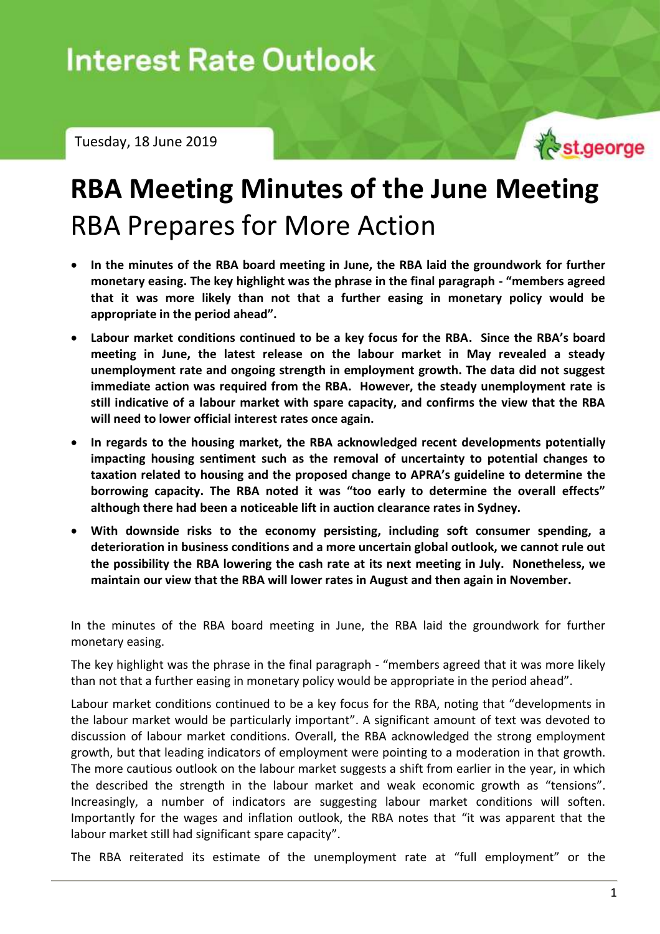Tuesday, 18 June 2019



# **RBA Meeting Minutes of the June Meeting**  RBA Prepares for More Action

- **In the minutes of the RBA board meeting in June, the RBA laid the groundwork for further monetary easing. The key highlight was the phrase in the final paragraph - "members agreed that it was more likely than not that a further easing in monetary policy would be appropriate in the period ahead".**
- **Labour market conditions continued to be a key focus for the RBA. Since the RBA's board meeting in June, the latest release on the labour market in May revealed a steady unemployment rate and ongoing strength in employment growth. The data did not suggest immediate action was required from the RBA. However, the steady unemployment rate is still indicative of a labour market with spare capacity, and confirms the view that the RBA will need to lower official interest rates once again.**
- **In regards to the housing market, the RBA acknowledged recent developments potentially impacting housing sentiment such as the removal of uncertainty to potential changes to taxation related to housing and the proposed change to APRA's guideline to determine the borrowing capacity. The RBA noted it was "too early to determine the overall effects" although there had been a noticeable lift in auction clearance rates in Sydney.**
- **With downside risks to the economy persisting, including soft consumer spending, a deterioration in business conditions and a more uncertain global outlook, we cannot rule out the possibility the RBA lowering the cash rate at its next meeting in July. Nonetheless, we maintain our view that the RBA will lower rates in August and then again in November.**

In the minutes of the RBA board meeting in June, the RBA laid the groundwork for further monetary easing.

The key highlight was the phrase in the final paragraph - "members agreed that it was more likely than not that a further easing in monetary policy would be appropriate in the period ahead".

Labour market conditions continued to be a key focus for the RBA, noting that "developments in the labour market would be particularly important". A significant amount of text was devoted to discussion of labour market conditions. Overall, the RBA acknowledged the strong employment growth, but that leading indicators of employment were pointing to a moderation in that growth. The more cautious outlook on the labour market suggests a shift from earlier in the year, in which the described the strength in the labour market and weak economic growth as "tensions". Increasingly, a number of indicators are suggesting labour market conditions will soften. Importantly for the wages and inflation outlook, the RBA notes that "it was apparent that the labour market still had significant spare capacity".

The RBA reiterated its estimate of the unemployment rate at "full employment" or the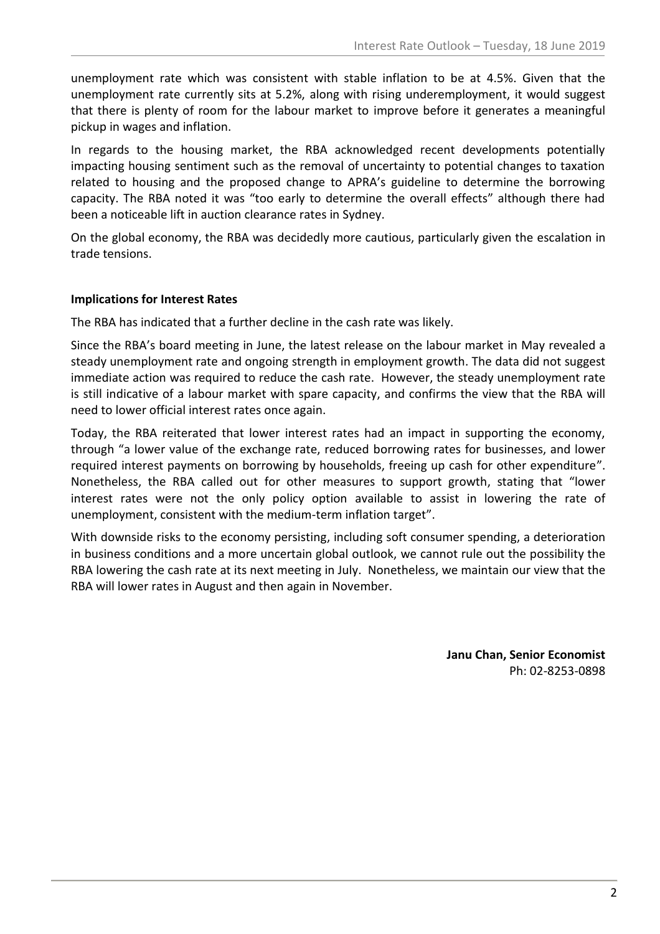unemployment rate which was consistent with stable inflation to be at 4.5%. Given that the unemployment rate currently sits at 5.2%, along with rising underemployment, it would suggest that there is plenty of room for the labour market to improve before it generates a meaningful pickup in wages and inflation.

In regards to the housing market, the RBA acknowledged recent developments potentially impacting housing sentiment such as the removal of uncertainty to potential changes to taxation related to housing and the proposed change to APRA's guideline to determine the borrowing capacity. The RBA noted it was "too early to determine the overall effects" although there had been a noticeable lift in auction clearance rates in Sydney.

On the global economy, the RBA was decidedly more cautious, particularly given the escalation in trade tensions.

### **Implications for Interest Rates**

The RBA has indicated that a further decline in the cash rate was likely.

Since the RBA's board meeting in June, the latest release on the labour market in May revealed a steady unemployment rate and ongoing strength in employment growth. The data did not suggest immediate action was required to reduce the cash rate. However, the steady unemployment rate is still indicative of a labour market with spare capacity, and confirms the view that the RBA will need to lower official interest rates once again.

Today, the RBA reiterated that lower interest rates had an impact in supporting the economy, through "a lower value of the exchange rate, reduced borrowing rates for businesses, and lower required interest payments on borrowing by households, freeing up cash for other expenditure". Nonetheless, the RBA called out for other measures to support growth, stating that "lower interest rates were not the only policy option available to assist in lowering the rate of unemployment, consistent with the medium-term inflation target".

With downside risks to the economy persisting, including soft consumer spending, a deterioration in business conditions and a more uncertain global outlook, we cannot rule out the possibility the RBA lowering the cash rate at its next meeting in July. Nonetheless, we maintain our view that the RBA will lower rates in August and then again in November.

> **Janu Chan, Senior Economist** Ph: 02-8253-0898